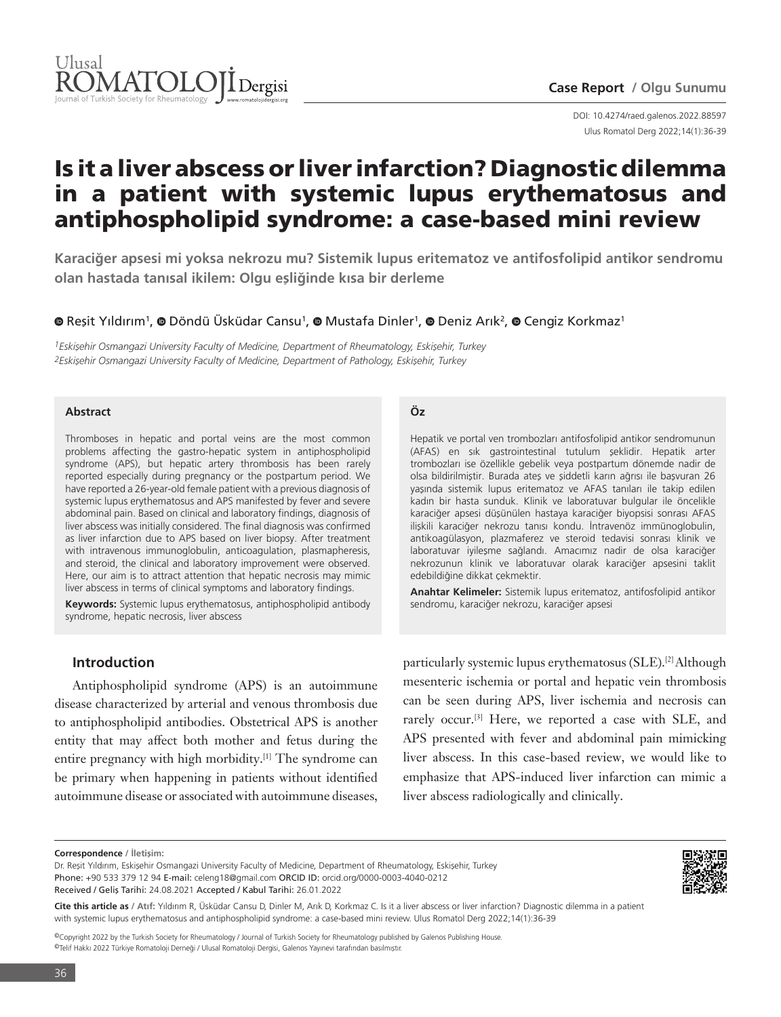

Ulus Romatol Derg 2022;14(1):36-39 DOI: 10.4274/raed.galenos.2022.88597

# Is it a liver abscess or liver infarction? Diagnostic dilemma in a patient with systemic lupus erythematosus and antiphospholipid syndrome: a case-based mini review

**Karaciğer apsesi mi yoksa nekrozu mu? Sistemik lupus eritematoz ve antifosfolipid antikor sendromu olan hastada tanısal ikilem: Olgu eşliğinde kısa bir derleme**

# **OReşit Yıldırım<sup>1</sup>, O Döndü Üsküdar Cansu<sup>1</sup>, O Mustafa Dinler<sup>1</sup>, O Deniz Arık<sup>2</sup>, O Cengiz Korkmaz<sup>1</sup>**

*1Eskişehir Osmangazi University Faculty of Medicine, Department of Rheumatology, Eskişehir, Turkey 2Eskişehir Osmangazi University Faculty of Medicine, Department of Pathology, Eskişehir, Turkey*

## **Abstract**

Thromboses in hepatic and portal veins are the most common problems affecting the gastro-hepatic system in antiphospholipid syndrome (APS), but hepatic artery thrombosis has been rarely reported especially during pregnancy or the postpartum period. We have reported a 26-year-old female patient with a previous diagnosis of systemic lupus erythematosus and APS manifested by fever and severe abdominal pain. Based on clinical and laboratory findings, diagnosis of liver abscess was initially considered. The final diagnosis was confirmed as liver infarction due to APS based on liver biopsy. After treatment with intravenous immunoglobulin, anticoagulation, plasmapheresis, and steroid, the clinical and laboratory improvement were observed. Here, our aim is to attract attention that hepatic necrosis may mimic liver abscess in terms of clinical symptoms and laboratory findings.

**Keywords:** Systemic lupus erythematosus, antiphospholipid antibody syndrome, hepatic necrosis, liver abscess

# **Introduction**

Antiphospholipid syndrome (APS) is an autoimmune disease characterized by arterial and venous thrombosis due to antiphospholipid antibodies. Obstetrical APS is another entity that may affect both mother and fetus during the entire pregnancy with high morbidity.[1] The syndrome can be primary when happening in patients without identified autoimmune disease or associated with autoimmune diseases,

# **Öz**

Hepatik ve portal ven trombozları antifosfolipid antikor sendromunun (AFAS) en sık gastrointestinal tutulum şeklidir. Hepatik arter trombozları ise özellikle gebelik veya postpartum dönemde nadir de olsa bildirilmiştir. Burada ateş ve şiddetli karın ağrısı ile başvuran 26 yaşında sistemik lupus eritematoz ve AFAS tanıları ile takip edilen kadın bir hasta sunduk. Klinik ve laboratuvar bulgular ile öncelikle karaciğer apsesi düşünülen hastaya karaciğer biyopsisi sonrası AFAS ilişkili karaciğer nekrozu tanısı kondu. İntravenöz immünoglobulin, antikoagülasyon, plazmaferez ve steroid tedavisi sonrası klinik ve laboratuvar iyileşme sağlandı. Amacımız nadir de olsa karaciğer nekrozunun klinik ve laboratuvar olarak karaciğer apsesini taklit edebildiğine dikkat çekmektir.

**Anahtar Kelimeler:** Sistemik lupus eritematoz, antifosfolipid antikor sendromu, karaciğer nekrozu, karaciğer apsesi

particularly systemic lupus erythematosus (SLE).[2] Although mesenteric ischemia or portal and hepatic vein thrombosis can be seen during APS, liver ischemia and necrosis can rarely occur.<sup>[3]</sup> Here, we reported a case with SLE, and APS presented with fever and abdominal pain mimicking liver abscess. In this case-based review, we would like to emphasize that APS-induced liver infarction can mimic a liver abscess radiologically and clinically.



**Cite this article as / Atıf:** Yıldırım R, Üsküdar Cansu D, Dinler M, Arık D, Korkmaz C. Is it a liver abscess or liver infarction? Diagnostic dilemma in a patient with systemic lupus erythematosus and antiphospholipid syndrome: a case-based mini review. Ulus Romatol Derg 2022;14(1):36-39

©Copyright 2022 by the Turkish Society for Rheumatology / Journal of Turkish Society for Rheumatology published by Galenos Publishing House. ©Telif Hakkı 2022 Türkiye Romatoloji Derneği / Ulusal Romatoloji Dergisi, Galenos Yayınevi tarafından basılmıştır.

**Correspondence / İletişim:**

Dr. Reşit Yıldırım, Eskişehir Osmangazi University Faculty of Medicine, Department of Rheumatology, Eskişehir, Turkey Phone: +90 533 379 12 94 E-mail: celeng18@gmail.com ORCID ID: orcid.org/0000-0003-4040-0212 Received / Geliş Tarihi: 24.08.2021 Accepted / Kabul Tarihi: 26.01.2022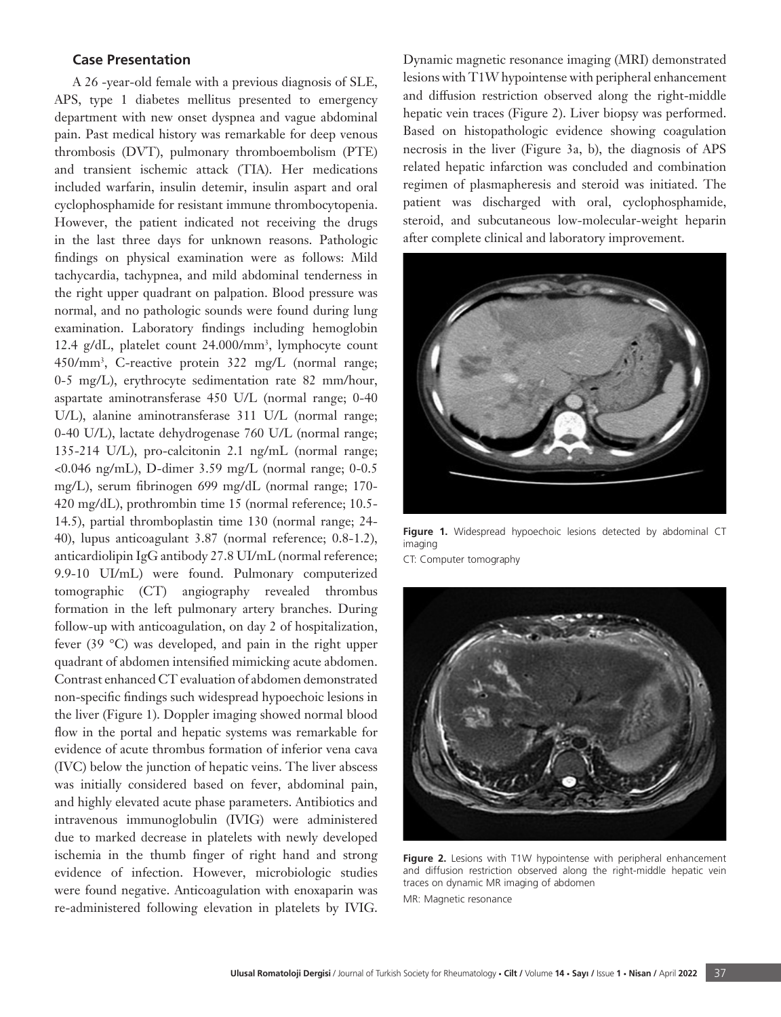## **Case Presentation**

A 26 -year-old female with a previous diagnosis of SLE, APS, type 1 diabetes mellitus presented to emergency department with new onset dyspnea and vague abdominal pain. Past medical history was remarkable for deep venous thrombosis (DVT), pulmonary thromboembolism (PTE) and transient ischemic attack (TIA). Her medications included warfarin, insulin detemir, insulin aspart and oral cyclophosphamide for resistant immune thrombocytopenia. However, the patient indicated not receiving the drugs in the last three days for unknown reasons. Pathologic findings on physical examination were as follows: Mild tachycardia, tachypnea, and mild abdominal tenderness in the right upper quadrant on palpation. Blood pressure was normal, and no pathologic sounds were found during lung examination. Laboratory findings including hemoglobin 12.4 g/dL, platelet count 24.000/mm<sup>3</sup> , lymphocyte count 450/mm<sup>3</sup> , C-reactive protein 322 mg/L (normal range; 0-5 mg/L), erythrocyte sedimentation rate 82 mm/hour, aspartate aminotransferase 450 U/L (normal range; 0-40 U/L), alanine aminotransferase 311 U/L (normal range; 0-40 U/L), lactate dehydrogenase 760 U/L (normal range; 135-214 U/L), pro-calcitonin 2.1 ng/mL (normal range; <0.046 ng/mL), D-dimer 3.59 mg/L (normal range; 0-0.5 mg/L), serum fibrinogen 699 mg/dL (normal range; 170- 420 mg/dL), prothrombin time 15 (normal reference; 10.5- 14.5), partial thromboplastin time 130 (normal range; 24- 40), lupus anticoagulant 3.87 (normal reference; 0.8-1.2), anticardiolipin IgG antibody 27.8 UI/mL (normal reference; 9.9-10 UI/mL) were found. Pulmonary computerized tomographic (CT) angiography revealed thrombus formation in the left pulmonary artery branches. During follow-up with anticoagulation, on day 2 of hospitalization, fever (39 °C) was developed, and pain in the right upper quadrant of abdomen intensified mimicking acute abdomen. Contrast enhanced CT evaluation of abdomen demonstrated non-specific findings such widespread hypoechoic lesions in the liver (Figure 1). Doppler imaging showed normal blood flow in the portal and hepatic systems was remarkable for evidence of acute thrombus formation of inferior vena cava (IVC) below the junction of hepatic veins. The liver abscess was initially considered based on fever, abdominal pain, and highly elevated acute phase parameters. Antibiotics and intravenous immunoglobulin (IVIG) were administered due to marked decrease in platelets with newly developed ischemia in the thumb finger of right hand and strong evidence of infection. However, microbiologic studies were found negative. Anticoagulation with enoxaparin was re-administered following elevation in platelets by IVIG.

Dynamic magnetic resonance imaging (MRI) demonstrated lesions with T1W hypointense with peripheral enhancement and diffusion restriction observed along the right-middle hepatic vein traces (Figure 2). Liver biopsy was performed. Based on histopathologic evidence showing coagulation necrosis in the liver (Figure 3a, b), the diagnosis of APS related hepatic infarction was concluded and combination regimen of plasmapheresis and steroid was initiated. The patient was discharged with oral, cyclophosphamide, steroid, and subcutaneous low-molecular-weight heparin after complete clinical and laboratory improvement.



**Figure 1.** Widespread hypoechoic lesions detected by abdominal CT imaging

CT: Computer tomography



Figure 2. Lesions with T1W hypointense with peripheral enhancement and diffusion restriction observed along the right-middle hepatic vein traces on dynamic MR imaging of abdomen MR: Magnetic resonance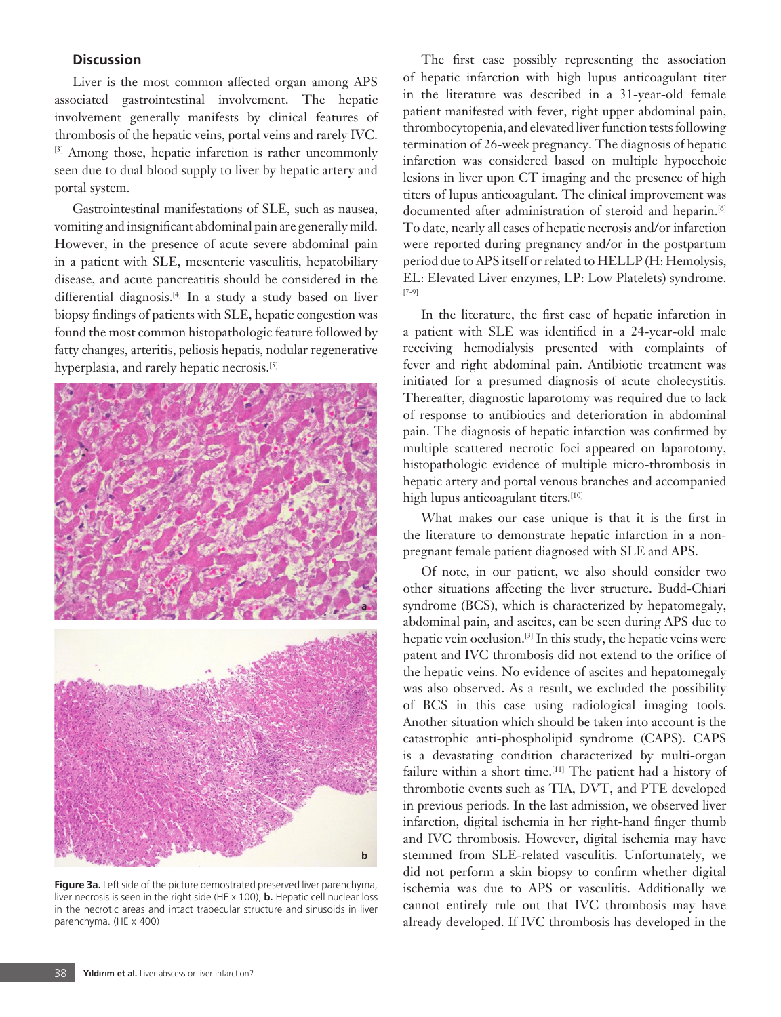# **Discussion**

Liver is the most common affected organ among APS associated gastrointestinal involvement. The hepatic involvement generally manifests by clinical features of thrombosis of the hepatic veins, portal veins and rarely IVC. [3] Among those, hepatic infarction is rather uncommonly seen due to dual blood supply to liver by hepatic artery and portal system.

Gastrointestinal manifestations of SLE, such as nausea, vomiting and insignificant abdominal pain are generally mild. However, in the presence of acute severe abdominal pain in a patient with SLE, mesenteric vasculitis, hepatobiliary disease, and acute pancreatitis should be considered in the differential diagnosis.[4] In a study a study based on liver biopsy findings of patients with SLE, hepatic congestion was found the most common histopathologic feature followed by fatty changes, arteritis, peliosis hepatis, nodular regenerative hyperplasia, and rarely hepatic necrosis.<sup>[5]</sup>



**Figure 3a.** Left side of the picture demostrated preserved liver parenchyma, liver necrosis is seen in the right side (HE x 100), **b.** Hepatic cell nuclear loss in the necrotic areas and intact trabecular structure and sinusoids in liver parenchyma. (HE x 400)

The first case possibly representing the association of hepatic infarction with high lupus anticoagulant titer in the literature was described in a 31-year-old female patient manifested with fever, right upper abdominal pain, thrombocytopenia, and elevated liver function tests following termination of 26-week pregnancy. The diagnosis of hepatic infarction was considered based on multiple hypoechoic lesions in liver upon CT imaging and the presence of high titers of lupus anticoagulant. The clinical improvement was documented after administration of steroid and heparin.<sup>[6]</sup> To date, nearly all cases of hepatic necrosis and/or infarction were reported during pregnancy and/or in the postpartum period due to APS itself or related to HELLP (H: Hemolysis, EL: Elevated Liver enzymes, LP: Low Platelets) syndrome. [7-9]

In the literature, the first case of hepatic infarction in a patient with SLE was identified in a 24-year-old male receiving hemodialysis presented with complaints of fever and right abdominal pain. Antibiotic treatment was initiated for a presumed diagnosis of acute cholecystitis. Thereafter, diagnostic laparotomy was required due to lack of response to antibiotics and deterioration in abdominal pain. The diagnosis of hepatic infarction was confirmed by multiple scattered necrotic foci appeared on laparotomy, histopathologic evidence of multiple micro-thrombosis in hepatic artery and portal venous branches and accompanied high lupus anticoagulant titers.<sup>[10]</sup>

What makes our case unique is that it is the first in the literature to demonstrate hepatic infarction in a nonpregnant female patient diagnosed with SLE and APS.

Of note, in our patient, we also should consider two other situations affecting the liver structure. Budd-Chiari syndrome (BCS), which is characterized by hepatomegaly, abdominal pain, and ascites, can be seen during APS due to hepatic vein occlusion.[3] In this study, the hepatic veins were patent and IVC thrombosis did not extend to the orifice of the hepatic veins. No evidence of ascites and hepatomegaly was also observed. As a result, we excluded the possibility of BCS in this case using radiological imaging tools. Another situation which should be taken into account is the catastrophic anti-phospholipid syndrome (CAPS). CAPS is a devastating condition characterized by multi-organ failure within a short time.<sup>[11]</sup> The patient had a history of thrombotic events such as TIA, DVT, and PTE developed in previous periods. In the last admission, we observed liver infarction, digital ischemia in her right-hand finger thumb and IVC thrombosis. However, digital ischemia may have stemmed from SLE-related vasculitis. Unfortunately, we did not perform a skin biopsy to confirm whether digital ischemia was due to APS or vasculitis. Additionally we cannot entirely rule out that IVC thrombosis may have already developed. If IVC thrombosis has developed in the